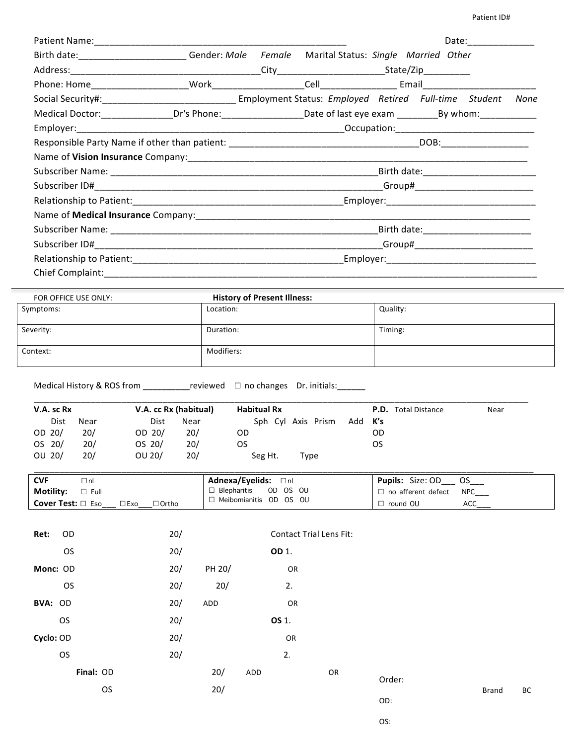|                                                                                                         |  |  | Date: ____________ |      |
|---------------------------------------------------------------------------------------------------------|--|--|--------------------|------|
| Birth date: _______________________Gender: Male Female Marital Status: Single Married Other             |  |  |                    |      |
|                                                                                                         |  |  |                    |      |
|                                                                                                         |  |  |                    |      |
| Social Security#:_________________________________Employment Status: Employed Retired Full-time Student |  |  |                    | None |
|                                                                                                         |  |  |                    |      |
|                                                                                                         |  |  |                    |      |
|                                                                                                         |  |  |                    |      |
|                                                                                                         |  |  |                    |      |
|                                                                                                         |  |  |                    |      |
|                                                                                                         |  |  |                    |      |
|                                                                                                         |  |  |                    |      |
|                                                                                                         |  |  |                    |      |
|                                                                                                         |  |  |                    |      |
|                                                                                                         |  |  |                    |      |
|                                                                                                         |  |  |                    |      |
| Chief Complaint:                                                                                        |  |  |                    |      |

| FOR OFFICE USE ONLY: | <b>History of Present Illness:</b> |          |
|----------------------|------------------------------------|----------|
| Symptoms:            | Location:                          | Quality: |
|                      |                                    |          |
| Severity:            | Duration:                          | Timing:  |
|                      |                                    |          |
| Context:             | Modifiers:                         |          |
|                      |                                    |          |

Medical History & ROS from \_\_\_\_\_\_\_\_\_\_\_\_\_reviewed  $\Box$  no changes Dr. initials:\_\_\_\_\_\_\_

| V.A. sc Rx  |      |        | V.A. cc Rx (habitual) | <b>Habitual Rx</b> |                    |                |    | <b>P.D.</b> Total Distance | Near |
|-------------|------|--------|-----------------------|--------------------|--------------------|----------------|----|----------------------------|------|
| <b>Dist</b> | Near | Dist   | Near                  |                    | Sph Cyl Axis Prism | Add <b>K's</b> |    |                            |      |
| OD $20/$    | 20/  | OD 20/ | 20/                   | OD                 |                    |                | OD |                            |      |
| OS 20/      | 20/  | OS 20/ | 20/                   | OS                 |                    |                | OS |                            |      |
| OU 20/      | 20/  | OU 20/ | 20/                   | Seg Ht.            | Type               |                |    |                            |      |

| <b>CVF</b><br>⊥nl                                        | <b>Adnexa/Eyelids:</b> □nl | <b>Pupils:</b> Size: OD                 |
|----------------------------------------------------------|----------------------------|-----------------------------------------|
| <b>Motility:</b><br>∃ Full                               | OD OS OU<br>□ Blepharitis  | <b>NPC</b><br>$\Box$ no afferent defect |
| <b>Cover Test:</b> $\Box$ Eso<br>$\exists$ Exo<br>∃Ortho | □ Meibomianitis OD OS OU   | ACC<br>$\Box$ round OU                  |

| Ret:      | OD        | 20/ |        |     | <b>Contact Trial Lens Fit:</b> |    |        |              |    |
|-----------|-----------|-----|--------|-----|--------------------------------|----|--------|--------------|----|
|           | <b>OS</b> | 20/ |        |     | OD 1.                          |    |        |              |    |
| Monc: OD  |           | 20/ | PH 20/ |     | OR                             |    |        |              |    |
|           | <b>OS</b> | 20/ | 20/    |     | 2.                             |    |        |              |    |
| BVA: OD   |           | 20/ | ADD    |     | OR                             |    |        |              |    |
|           | <b>OS</b> | 20/ |        |     | OS 1.                          |    |        |              |    |
| Cyclo: OD |           | 20/ |        |     | OR                             |    |        |              |    |
|           | <b>OS</b> | 20/ |        |     | 2.                             |    |        |              |    |
|           | Final: OD |     | 20/    | ADD |                                | OR | Order: |              |    |
|           | OS.       |     | 20/    |     |                                |    |        | <b>Brand</b> | BC |
|           |           |     |        |     |                                |    | OD:    |              |    |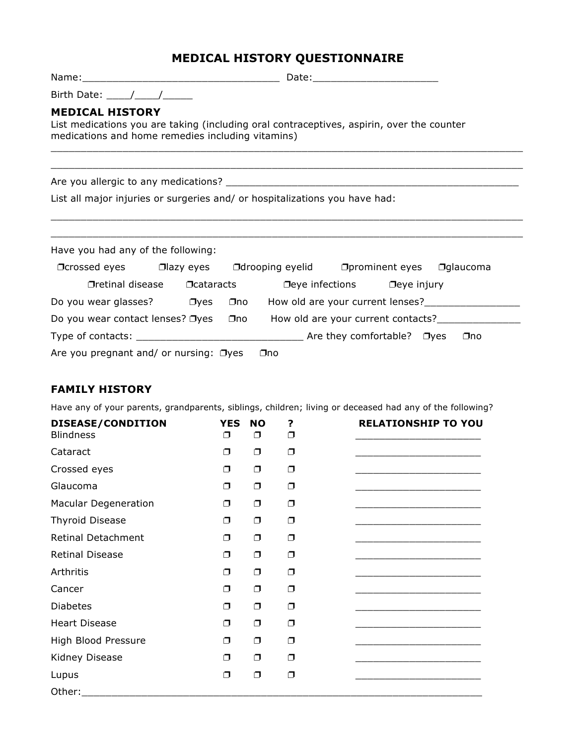## **MEDICAL HISTORY QUESTIONNAIRE**

| <b>MEDICAL HISTORY</b><br>List medications you are taking (including oral contraceptives, aspirin, over the counter<br>medications and home remedies including vitamins) |  |     |     |                                                                                  |     |  |  |  |
|--------------------------------------------------------------------------------------------------------------------------------------------------------------------------|--|-----|-----|----------------------------------------------------------------------------------|-----|--|--|--|
|                                                                                                                                                                          |  |     |     |                                                                                  |     |  |  |  |
| List all major injuries or surgeries and/ or hospitalizations you have had:                                                                                              |  |     |     |                                                                                  |     |  |  |  |
| Have you had any of the following:                                                                                                                                       |  |     |     |                                                                                  |     |  |  |  |
| □ Crossed eyes □ azy eyes □ drooping eyelid □ prominent eyes □ glaucoma                                                                                                  |  |     |     |                                                                                  |     |  |  |  |
|                                                                                                                                                                          |  |     |     | $\Box$ retinal disease $\Box$ cataracts $\Box$ eye infections $\Box$ eye injury  |     |  |  |  |
| Do you wear glasses? $\Box$ yes                                                                                                                                          |  | ⊟no |     |                                                                                  |     |  |  |  |
| Do you wear contact lenses? □yes                                                                                                                                         |  |     |     | □no How old are your current contacts?<br>□no How old are your current contacts? |     |  |  |  |
|                                                                                                                                                                          |  |     |     |                                                                                  | ⊡no |  |  |  |
| Are you pregnant and/ or nursing: $\Box$ yes                                                                                                                             |  |     | ⊡no |                                                                                  |     |  |  |  |

## **FAMILY HISTORY**

Have any of your parents, grandparents, siblings, children; living or deceased had any of the following?

| DISEASE/CONDITION<br><b>Blindness</b> | <b>YES</b><br>σ | <b>NO</b><br>⊓ | ?<br>⊓ | <b>RELATIONSHIP TO YOU</b> |
|---------------------------------------|-----------------|----------------|--------|----------------------------|
| Cataract                              | $\Box$          | Ω              | Π      |                            |
| Crossed eyes                          | $\Box$          | α              | Ω      |                            |
| Glaucoma                              | $\Box$          | Ω              | $\Box$ |                            |
| <b>Macular Degeneration</b>           | $\Box$          | Π              | $\Box$ |                            |
| <b>Thyroid Disease</b>                | $\Box$          | σ              | $\Box$ |                            |
| <b>Retinal Detachment</b>             | $\Box$          | Ω              | Ω      |                            |
| <b>Retinal Disease</b>                | Ω               | Π              | $\Box$ |                            |
| Arthritis                             | $\Box$          | Ω              | $\Box$ |                            |
| Cancer                                | σ               | Ω              | $\Box$ |                            |
| <b>Diabetes</b>                       | $\Box$          | $\Box$         | $\Box$ |                            |
| <b>Heart Disease</b>                  | $\Box$          | $\Box$         | O      |                            |
| High Blood Pressure                   | Ω               | Ω              | Π      |                            |
| Kidney Disease                        | $\Box$          | Π              | ⊓      |                            |
| Lupus                                 | Ω               | Π              | $\Box$ |                            |
| Other:                                |                 |                |        |                            |